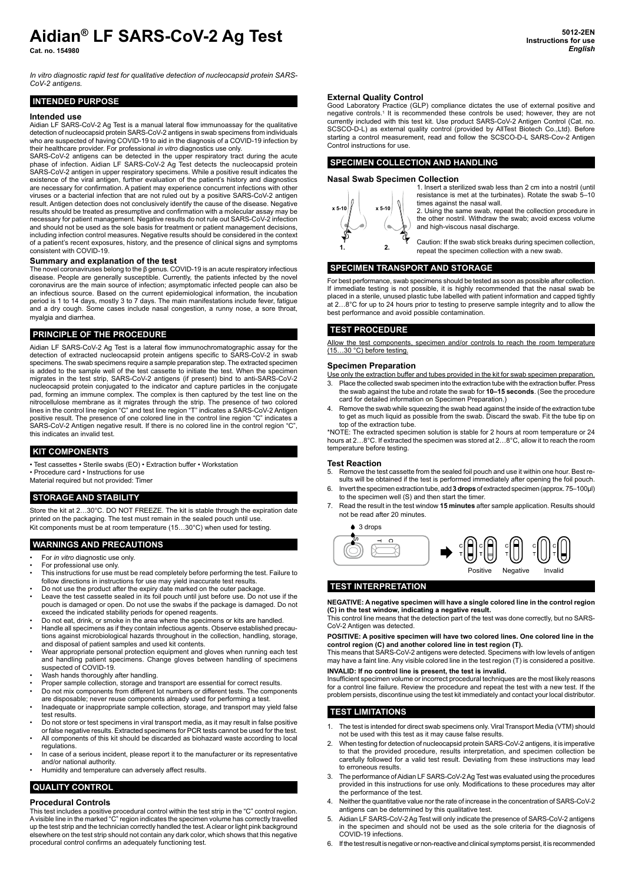# **Aidian® LF SARS-CoV-2 Ag Test**

**Cat. no. 154980**

*In vitro diagnostic rapid test for qualitative detection of nucleocapsid protein SARS-CoV-2 antigens.*

# **INTENDED PURPOSE**

#### **Intended use**

Aidian LF SARS-CoV-2 Ag Test is a manual lateral flow immunoassay for the qualitative detection of nucleocapsid protein SARS-CoV-2 antigens in swab specimens from individuals who are suspected of having COVID-19 to aid in the diagnosis of a COVID-19 infection by

their healthcare provider. For professional *in vitro* diagnostics use only. SARS-CoV-2 antigens can be detected in the upper respiratory tract during the acute phase of infection. Aidian LF SARS-CoV-2 Ag Test detects the nucleocapsid protein SARS-CoV-2 antigen in upper respiratory specimens. While a positive result indicates the existence of the viral antigen, further evaluation of the patient's history and diagnostics are necessary for confirmation. A patient may experience concurrent infections with other viruses or a bacterial infection that are not ruled out by a positive SARS-CoV-2 antigen result. Antigen detection does not conclusively identify the cause of the disease. Negative results should be treated as presumptive and confirmation with a molecular assay may be necessary for patient management. Negative results do not rule out SARS-CoV-2 infection and should not be used as the sole basis for treatment or patient management decisions, including infection control measures. Negative results should be considered in the context of a patient's recent exposures, history, and the presence of clinical signs and symptoms consistent with COVID-19.

#### **Summary and explanation of the test**

The novel coronaviruses belong to the β genus. COVID-19 is an acute respiratory infectious disease. People are generally susceptible. Currently, the patients infected by the novel coronavirus are the main source of infection; asymptomatic infected people can also be an infectious source. Based on the current epidemiological information, the incubation period is 1 to 14 days, mostly 3 to 7 days. The main manifestations include fever, fatigue and a dry cough. Some cases include nasal congestion, a runny nose, a sore throat, myalgia and diarrhea.

#### **PRINCIPLE OF THE PROCEDURE**

Aidian LF SARS-CoV-2 Ag Test is a lateral flow immunochromatographic assay for the detection of extracted nucleocapsid protein antigens specific to SARS-CoV-2 in swab specimens. The swab specimens require a sample preparation step. The extracted specimen is added to the sample well of the test cassette to initiate the test. When the specimen migrates in the test strip, SARS-CoV-2 antigens (if present) bind to anti-SARS-CoV-2 nucleocapsid protein conjugated to the indicator and capture particles in the conjugate pad, forming an immune complex. The complex is then captured by the test line on the nitrocellulose membrane as it migrates through the strip. The presence of two colored lines in the control line region "C" and test line region "T" indicates a SARS-CoV-2 Antigen positive result. The presence of one colored line in the control line region "C" indicates a SARS-CoV-2 Antigen negative result. If there is no colored line in the control region "C", this indicates an invalid test.

#### **KIT COMPONENTS**

- Test cassettes Sterile swabs (EO) Extraction buffer Workstation
- Procedure card Instructions for use
- Material required but not provided: Timer

# **STORAGE AND STABILITY**

Store the kit at 2…30°C. DO NOT FREEZE. The kit is stable through the expiration date printed on the packaging. The test must remain in the sealed pouch until use. Kit components must be at room temperature (15...30°C) when used for testing.

#### **WARNINGS AND PRECAUTIONS**

- For *in vitro* diagnostic use only.
- For professional use only.
- This instructions for use must be read completely before performing the test. Failure to follow directions in instructions for use may yield inaccurate test results.
- Do not use the product after the expiry date marked on the outer package. Leave the test cassette sealed in its foil pouch until just before use. Do not use if the
- pouch is damaged or open. Do not use the swabs if the package is damaged. Do not exceed the indicated stability periods for opened reagents. Do not eat, drink, or smoke in the area where the specimens or kits are handled.
- Handle all specimens as if they contain infectious agents. Observe established precautions against microbiological hazards throughout in the collection, handling, storage, and disposal of patient samples and used kit contents.
- Wear appropriate personal protection equipment and gloves when running each test and handling patient specimens. Change gloves between handling of specimens suspected of COVID-19.
- 
- Wash hands thoroughly after handling. Proper sample collection, storage and transport are essential for correct results.
- Do not mix components from different lot numbers or different tests. The components are disposable; never reuse components already used for performing a test.
- Inadequate or inappropriate sample collection, storage, and transport may yield false test results.
- Do not store or test specimens in viral transport media, as it may result in false positive or false negative results. Extracted specimens for PCR tests cannot be used for the test. • All components of this kit should be discarded as biohazard waste according to local
- regulations.
- In case of a serious incident, please report it to the manufacturer or its representative and/or national authority.
- Humidity and temperature can adversely affect results.

# **QUALITY CONTROL**

# **Procedural Controls**

This test includes a positive procedural control within the test strip in the "C" control region. A visible line in the marked "C" region indicates the specimen volume has correctly travelled up the test strip and the technician correctly handled the test. A clear or light pink background elsewhere on the test strip should not contain any dark color, which shows that this negative procedural control confirms an adequately functioning test.

#### **External Quality Control**

Good Laboratory Practice (GLP) compliance dictates the use of external positive and negative controls.1 It is recommended these controls be used; however, they are not currently included with this test kit. Use product SARS-CoV-2 Antigen Control (Cat. no. SCSCO-D-L) as external quality control (provided by AllTest Biotech Co.,Ltd). Before starting a control measurement, read and follow the SCSCO-D-L SARS-Cov-2 Antigen Control instructions for use.

# **SPECIMEN COLLECTION AND HANDLING**

#### **Nasal Swab Specimen Collection**



1. Insert a sterilized swab less than 2 cm into a nostril (until resistance is met at the turbinates). Rotate the swab 5–10 times against the nasal wall.

2. Using the same swab, repeat the collection procedure in the other nostril. Withdraw the swab; avoid excess volume and high-viscous nasal discharge.

Caution: If the swab stick breaks during specimen collection, repeat the specimen collection with a new swab.

#### **SPECIMEN TRANSPORT AND STORAGE**

For best performance, swab specimens should be tested as soon as possible after collection. If immediate testing is not possible, it is highly recommended that the nasal swab be placed in a sterile, unused plastic tube labelled with patient information and capped tightly at 2…8°C for up to 24 hours prior to testing to preserve sample integrity and to allow the best performance and avoid possible contamination.

# **TEST PROCEDURE**

Allow the test components, specimen and/or controls to reach the room temperature<br>(15...30 °C) before testing.

#### **Specimen Preparation**

- Use only the extraction buffer and tubes provided in the kit for swab specimen preparation. 3. Place the collected swab specimen into the extraction tube with the extraction buffer. Press the swab against the tube and rotate the swab for **10–15 seconds**. (See the procedure card for detailed information on Specimen Preparation.)
- Remove the swab while squeezing the swab head against the inside of the extraction tube to get as much liquid as possible from the swab. Discard the swab. Fit the tube tip on top of the extraction tube.

\*NOTE: The extracted specimen solution is stable for 2 hours at room temperature or 24 hours at 2…8°C. If extracted the specimen was stored at 2…8°C, allow it to reach the room temperature before testing.

#### **Test Reaction**

5. Remove the test cassette from the sealed foil pouch and use it within one hour. Best results will be obtained if the test is performed immediately after opening the foil pouch.

- 6. Invert the specimen extraction tube, add **3 drops** of extracted specimen (approx. 75–100μl) to the specimen well (S) and then start the timer.
- 7. Read the result in the test window **15 minutes** after sample application. Results should not be read after 20 minutes.

#### 3 drops

Positive Negative Invalid

# **TEST INTERPRETATION**

**NEGATIVE: A negative specimen will have a single colored line in the control region (C) in the test window, indicating a negative result.**

This control line means that the detection part of the test was done correctly, but no SARS-CoV-2 Antigen was detected.

#### **POSITIVE: A positive specimen will have two colored lines. One colored line in the control region (C) and another colored line in test region (T).**

This means that SARS-CoV-2 antigens were detected. Specimens with low levels of antigen may have a faint line. Any visible colored line in the test region (T) is considered a positive.

#### **INVALID: If no control line is present, the test is invalid.** Insufficient specimen volume or incorrect procedural techniques are the most likely reasons

for a control line failure. Review the procedure and repeat the test with a new test. If the problem persists, discontinue using the test kit immediately and contact your local distributor.

#### **TEST LIMITATIONS**

- The test is intended for direct swab specimens only. Viral Transport Media (VTM) should not be used with this test as it may cause false results.
- 2. When testing for detection of nucleocapsid protein SARS-CoV-2 antigens, it is imperative to that the provided procedure, results interpretation, and specimen collection be carefully followed for a valid test result. Deviating from these instructions may lead to erroneous results.
- The performance of Aidian LF SARS-CoV-2 Ag Test was evaluated using the procedures provided in this instructions for use only. Modifications to these procedures may alter the performance of the test.
- 4. Neither the quantitative value nor the rate of increase in the concentration of SARS-CoV-2 antigens can be determined by this qualitative test.
- 5. Aidian LF SARS-CoV-2 Ag Test will only indicate the presence of SARS-CoV-2 antigens in the specimen and should not be used as the sole criteria for the diagnosis of COVID-19 infections.
- 6. If the test result is negative or non-reactive and clinical symptoms persist, it is recommended